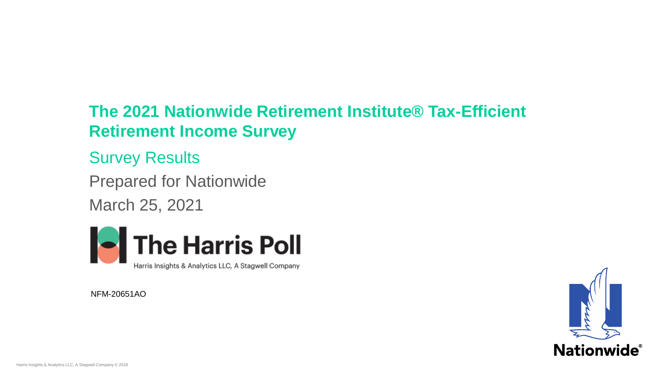## **The 2021 Nationwide Retirement Institute® Tax-Efficient Retirement Income Survey**

Survey Results

Prepared for Nationwide March 25, 2021



NFM-20651AO

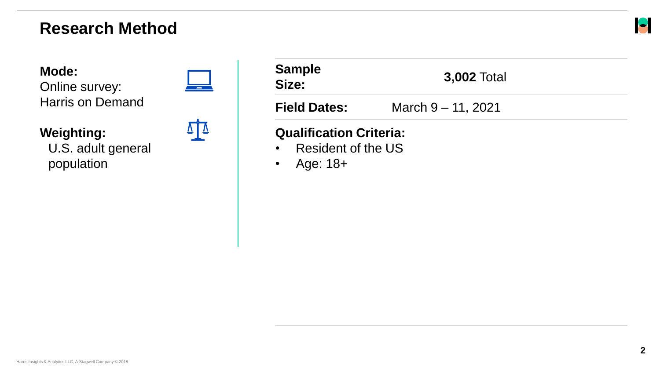#### **Research Method**

**Mode:** 

Online survey: Harris on Demand



| <b>Sample</b><br>Size:                                                 | <b>3,002 Total</b>    |  |
|------------------------------------------------------------------------|-----------------------|--|
| <b>Field Dates:</b>                                                    | March $9 - 11$ , 2021 |  |
| <b>Qualification Criteria:</b><br>• Resident of the US<br>• Age: $18+$ |                       |  |

#### **Weighting:**

U.S. adult general population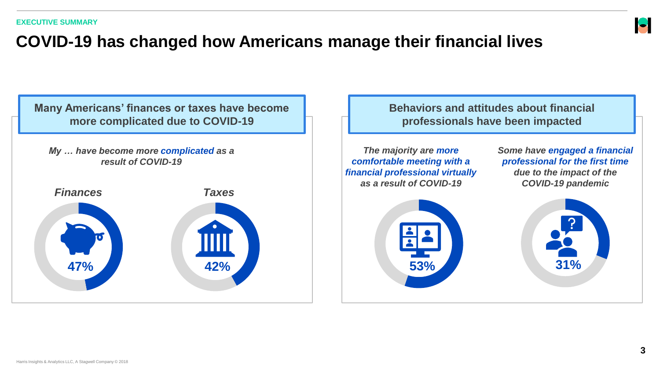

## **COVID-19 has changed how Americans manage their financial lives**

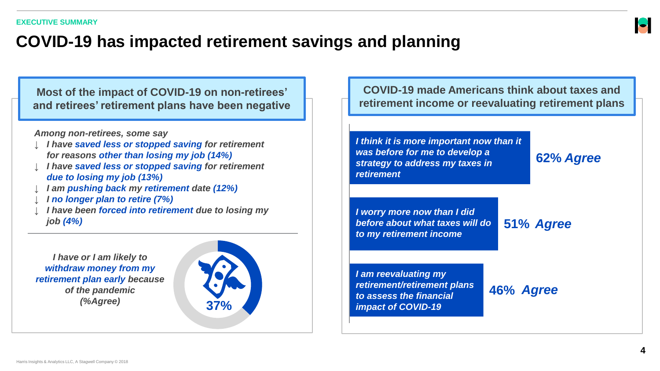#### **COVID-19 has impacted retirement savings and planning**

**Most of the impact of COVID-19 on non-retirees' and retirees' retirement plans have been negative**

*Among non-retirees, some say*

- ↓ *I have saved less or stopped saving for retirement for reasons other than losing my job (14%)*
- ↓ *I have saved less or stopped saving for retirement due to losing my job (13%)*
- ↓ *I am pushing back my retirement date (12%)*
- ↓ *I no longer plan to retire (7%)*
- ↓ *I have been forced into retirement due to losing my job (4%)*

*I have or I am likely to withdraw money from my retirement plan early because of the pandemic (%Agree)* **37%**



**COVID-19 made Americans think about taxes and retirement income or reevaluating retirement plans**

*I think it is more important now than it was before for me to develop a strategy to address my taxes in retirement*

**62%** *Agree*

*I worry more now than I did before about what taxes will do to my retirement income*

**51%** *Agree*

*I am reevaluating my retirement/retirement plans to assess the financial impact of COVID-19*

**46%** *Agree*

 $\blacktriangleright$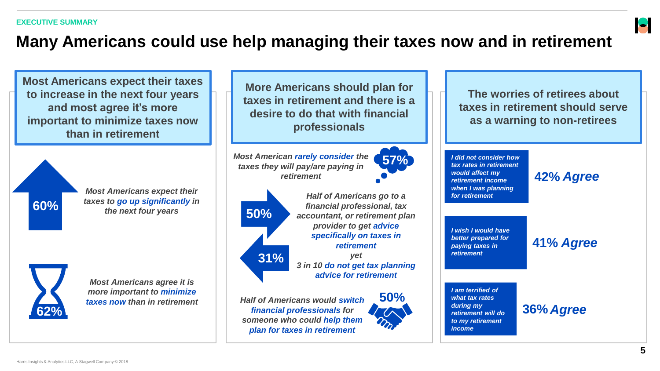#### **Many Americans could use help managing their taxes now and in retirement**

**Most Americans expect their taxes to increase in the next four years and most agree it's more important to minimize taxes now than in retirement**

*Most Americans expect their taxes to go up significantly in*  **60%** taxes to go up significantly in the next four years **50%** 



*Most Americans agree it is more important to minimize* 

**More Americans should plan for taxes in retirement and there is a desire to do that with financial professionals**

*Most American rarely consider the taxes they will pay/are paying in retirement*



*Half of Americans go to a financial professional, tax accountant, or retirement plan provider to get advice specifically on taxes in retirement yet 3 in 10 do not get tax planning advice for retirement*

*taxes now than in retirement Half of Americans would switch financial professionals for someone who could help them plan for taxes in retirement*



**57%**

**The worries of retirees about taxes in retirement should serve as a warning to non-retirees**

*I did not consider how tax rates in retirement would affect my retirement income when I was planning for retirement*

**42%** *Agree*

*I wish I would have better prepared for paying taxes in retirement*

**41%** *Agree*

*I am terrified of what tax rates during my retirement will do to my retirement income*

**36%** *Agree*

 $\blacksquare$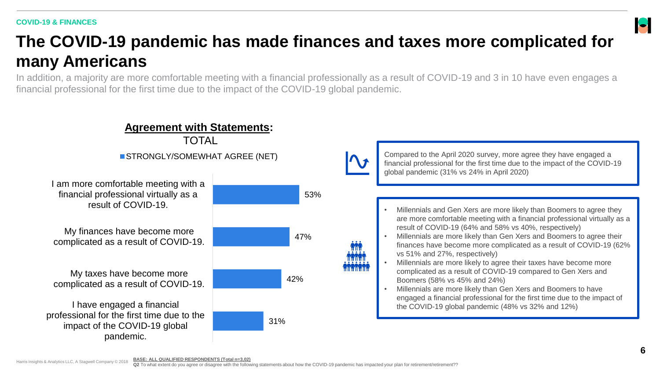#### **COVID-19 & FINANCES**

## **The COVID-19 pandemic has made finances and taxes more complicated for many Americans**

In addition, a majority are more comfortable meeting with a financial professionally as a result of COVID-19 and 3 in 10 have even engages a financial professional for the first time due to the impact of the COVID-19 global pandemic.



Compared to the April 2020 survey, more agree they have engaged a financial professional for the first time due to the impact of the COVID-19 global pandemic (31% vs 24% in April 2020)

- Millennials and Gen Xers are more likely than Boomers to agree they are more comfortable meeting with a financial professional virtually as a result of COVID-19 (64% and 58% vs 40%, respectively)
- Millennials are more likely than Gen Xers and Boomers to agree their finances have become more complicated as a result of COVID-19 (62% vs 51% and 27%, respectively)
- Millennials are more likely to agree their taxes have become more complicated as a result of COVID-19 compared to Gen Xers and Boomers (58% vs 45% and 24%)
- Millennials are more likely than Gen Xers and Boomers to have engaged a financial professional for the first time due to the impact of the COVID-19 global pandemic (48% vs 32% and 12%)

 $\blacksquare$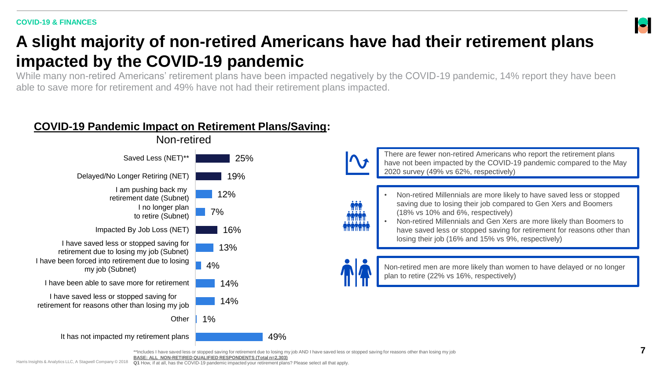## **A slight majority of non-retired Americans have had their retirement plans impacted by the COVID-19 pandemic**

While many non-retired Americans' retirement plans have been impacted negatively by the COVID-19 pandemic, 14% report they have been able to save more for retirement and 49% have not had their retirement plans impacted.

#### **COVID-19 Pandemic Impact on Retirement Plans/Saving:**



• Non-retired Millennials are more likely to have saved less or stopped saving due to losing their job compared to Gen Xers and Boomers (18% vs 10% and 6%, respectively) • Non-retired Millennials and Gen Xers are more likely than Boomers to have saved less or stopped saving for retirement for reasons other than losing their job (16% and 15% vs 9%, respectively) Non-retired men are more likely than women to have delayed or no longer plan to retire (22% vs 16%, respectively) There are fewer non-retired Americans who report the retirement plans have not been impacted by the COVID-19 pandemic compared to the May 2020 survey (49% vs 62%, respectively)

\*\*Includes I have saved less or stopped saving for retirement due to losing my job AND I have saved less or stopped saving for reasons other than losing my job

**BASE: ALL NON-RETIRED QUALIFIED RESPONDENTS (Total n=2,303)**

 $\blacktriangleright$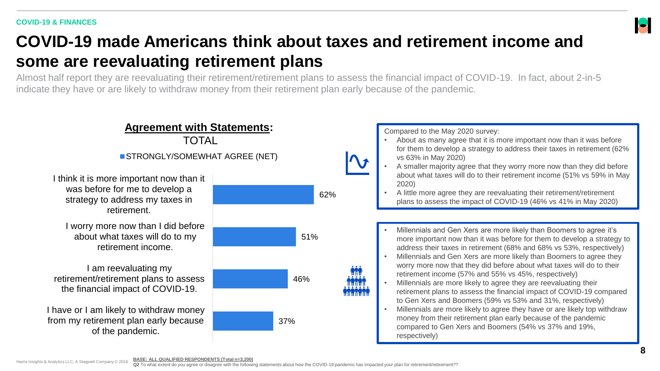#### **COVID-19 made Americans think about taxes and retirement income and some are reevaluating retirement plans**

Almost half report they are reevaluating their retirement/retirement plans to assess the financial impact of COVID-19. In fact, about 2-in-5 indicate they have or are likely to withdraw money from their retirement plan early because of the pandemic.



 $\blacksquare$ 

**Q2** To what extent do you agree or disagree with the following statements about how the COVID-19 pandemic has impacted your plan for retirement/retirement??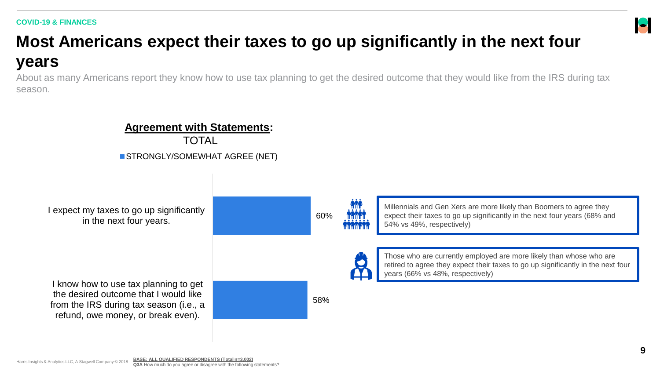#### **COVID-19 & FINANCES**

# **Most Americans expect their taxes to go up significantly in the next four years**

About as many Americans report they know how to use tax planning to get the desired outcome that they would like from the IRS during tax season.



 $\blacksquare$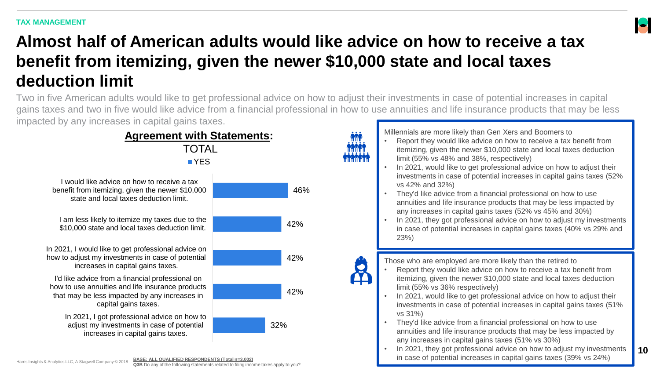

## **Almost half of American adults would like advice on how to receive a tax benefit from itemizing, given the newer \$10,000 state and local taxes deduction limit**

Two in five American adults would like to get professional advice on how to adjust their investments in case of potential increases in capital gains taxes and two in five would like advice from a financial professional in how to use annuities and life insurance products that may be less impacted by any increases in capital gains taxes.



Millennials are more likely than Gen Xers and Boomers to

- Report they would like advice on how to receive a tax benefit from itemizing, given the newer \$10,000 state and local taxes deduction limit (55% vs 48% and 38%, respectively)
- In 2021, would like to get professional advice on how to adjust their investments in case of potential increases in capital gains taxes (52% vs 42% and 32%)
- They'd like advice from a financial professional on how to use annuities and life insurance products that may be less impacted by any increases in capital gains taxes (52% vs 45% and 30%)
- In 2021, they got professional advice on how to adjust my investments in case of potential increases in capital gains taxes (40% vs 29% and 23%)

- Those who are employed are more likely than the retired to
- Report they would like advice on how to receive a tax benefit from itemizing, given the newer \$10,000 state and local taxes deduction limit (55% vs 36% respectively)
- In 2021, would like to get professional advice on how to adjust their investments in case of potential increases in capital gains taxes (51% vs 31%)
- They'd like advice from a financial professional on how to use annuities and life insurance products that may be less impacted by any increases in capital gains taxes (51% vs 30%)
- In 2021, they got professional advice on how to adjust my investments in case of potential increases in capital gains taxes (39% vs 24%)

Harris Insights & Analytics LLC, A Stagwell Company © 2018

**10**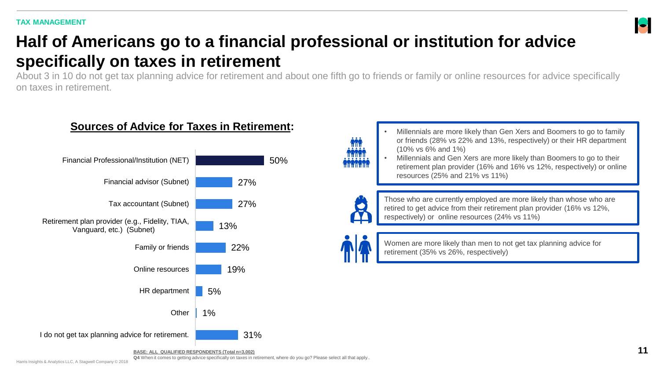#### **TAX MANAGEMENT**

# **Half of Americans go to a financial professional or institution for advice specifically on taxes in retirement**

About 3 in 10 do not get tax planning advice for retirement and about one fifth go to friends or family or online resources for advice specifically on taxes in retirement.



#### **Sources of Advice for Taxes in Retirement:**



Those who are currently employed are more likely than whose who are retired to get advice from their retirement plan provider (16% vs 12%, respectively) or online resources (24% vs 11%)

• Millennials are more likely than Gen Xers and Boomers to go to family or friends (28% vs 22% and 13%, respectively) or their HR department

• Millennials and Gen Xers are more likely than Boomers to go to their retirement plan provider (16% and 16% vs 12%, respectively) or online

Women are more likely than men to not get tax planning advice for retirement (35% vs 26%, respectively)

(10% vs 6% and 1%)

resources (25% and 21% vs 11%)

**BASE: ALL QUALIFIED RESPONDENTS (Total n=3,002)**

**Q4** When it comes to getting advice specifically on taxes in retirement, where do you go? Please select all that apply..

 $\blacktriangleright$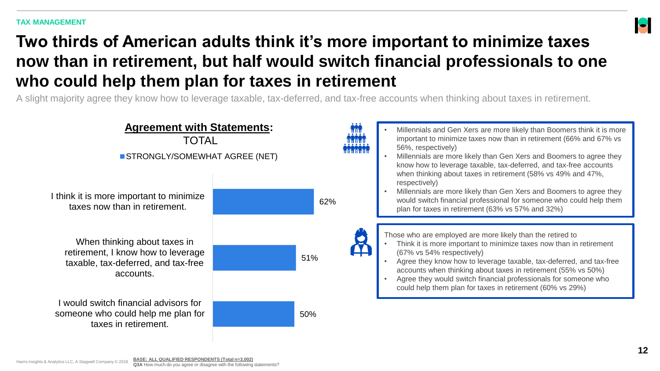

## **Two thirds of American adults think it's more important to minimize taxes now than in retirement, but half would switch financial professionals to one who could help them plan for taxes in retirement**

A slight majority agree they know how to leverage taxable, tax-deferred, and tax-free accounts when thinking about taxes in retirement.

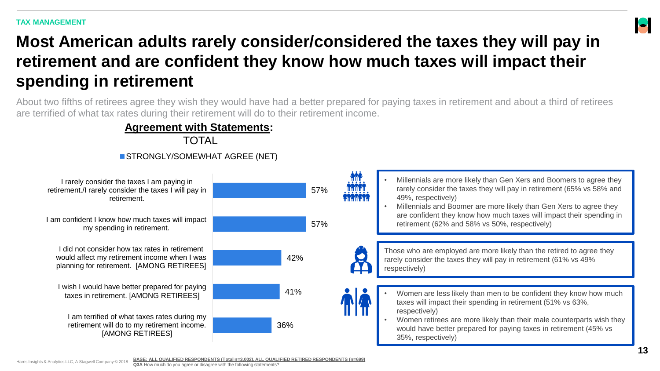

## **Most American adults rarely consider/considered the taxes they will pay in retirement and are confident they know how much taxes will impact their spending in retirement**

About two fifths of retirees agree they wish they would have had a better prepared for paying taxes in retirement and about a third of retirees are terrified of what tax rates during their retirement will do to their retirement income.